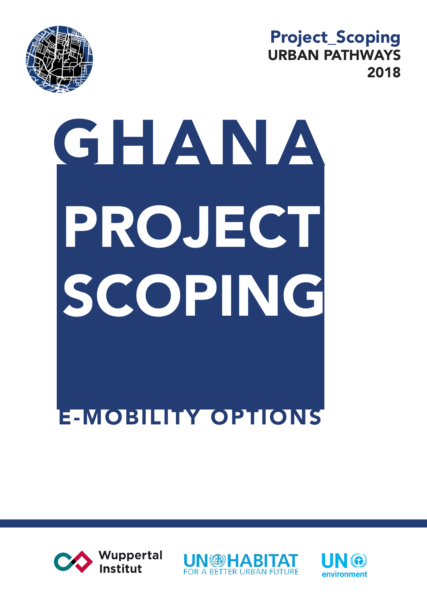

#### Project\_Scoping URBAN PATHWAYS 2018

# GHANA PROJECT SCOPING E-MOBILITY OPTIONS





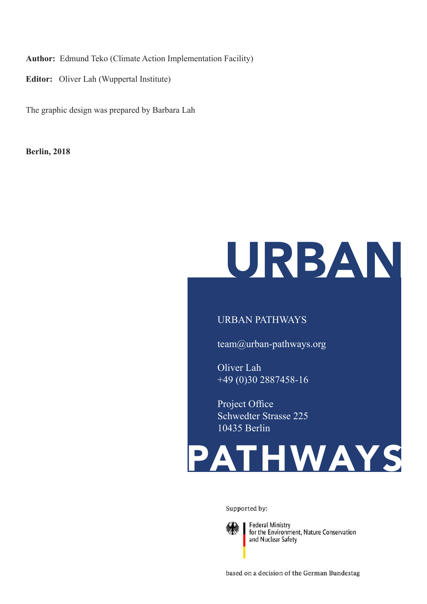**Author:** Edmund Teko (Climate Action Implementation Facility)

**Editor:** Oliver Lah (Wuppertal Institute)

The graphic design was prepared by Barbara Lah

**Berlin, 2018**

## URBAN

#### URBAN PATHWAYS

team@urban-pathways.org

Oliver Lah +49 (0)30 2887458-16

Project Office Schwedter Strasse 225 10435 Berlin



Supported by:



**Federal Ministry** for the Environment, Nature Conservation<br>and Nuclear Safety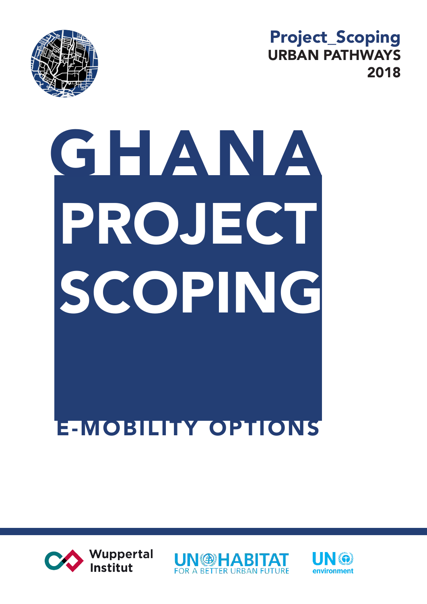

#### Project\_Scoping URBAN PATHWAYS 2018

# GHANA E-MOBILITY OPTIONS PROJECT SCOPING





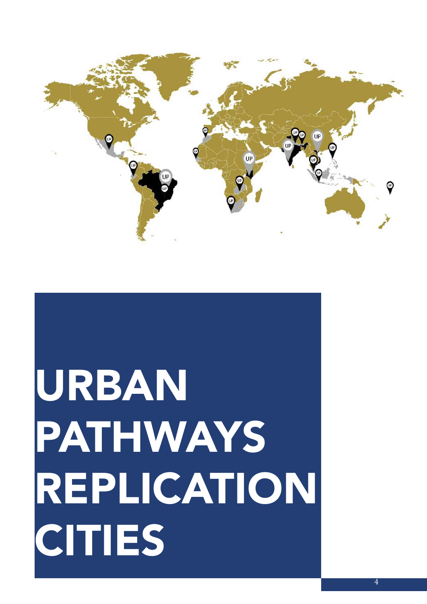

## URBAN PATHWAYS REPLICATION **CITIES**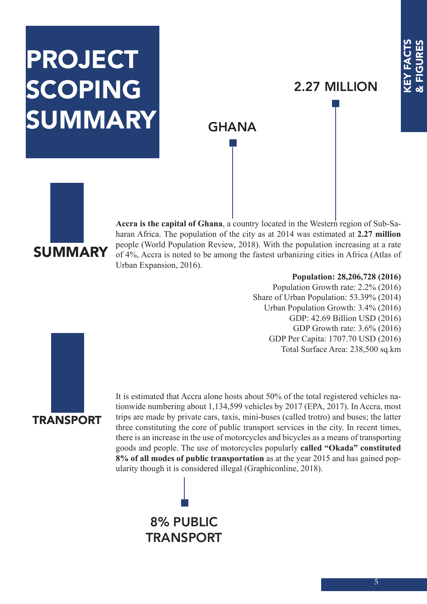### PROJECT SCOPING SUMMARY

#### 2.27 MILLION

#### **GHANA**



**Accra is the capital of Ghana**, a country located in the Western region of Sub-Saharan Africa. The population of the city as at 2014 was estimated at **2.27 million**  people (World Population Review, 2018). With the population increasing at a rate of 4%, Accra is noted to be among the fastest urbanizing cities in Africa (Atlas of Urban Expansion, 2016).

#### **Population: 28,206,728 (2016)**

Population Growth rate: 2.2% (2016) Share of Urban Population: 53.39% (2014) Urban Population Growth: 3.4% (2016) GDP: 42.69 Billion USD (2016) GDP Growth rate: 3.6% (2016) GDP Per Capita: 1707.70 USD (2016) Total Surface Area: 238,500 sq.km



It is estimated that Accra alone hosts about 50% of the total registered vehicles nationwide numbering about 1,134,599 vehicles by 2017 (EPA, 2017). In Accra, most trips are made by private cars, taxis, mini-buses (called trotro) and buses; the latter three constituting the core of public transport services in the city. In recent times, there is an increase in the use of motorcycles and bicycles as a means of transporting goods and people. The use of motorcycles popularly **called "Okada" constituted 8% of all modes of public transportation** as at the year 2015 and has gained popularity though it is considered illegal (Graphiconline, 2018).

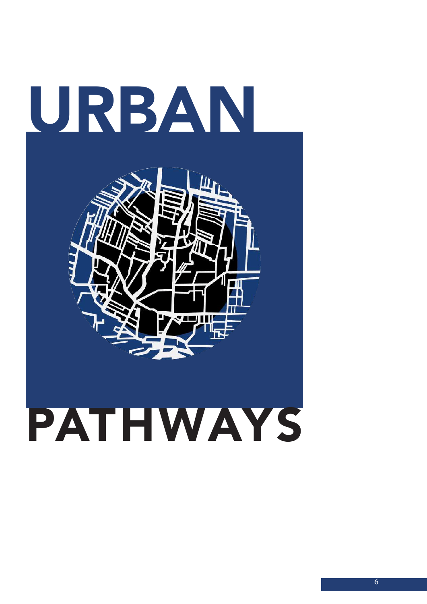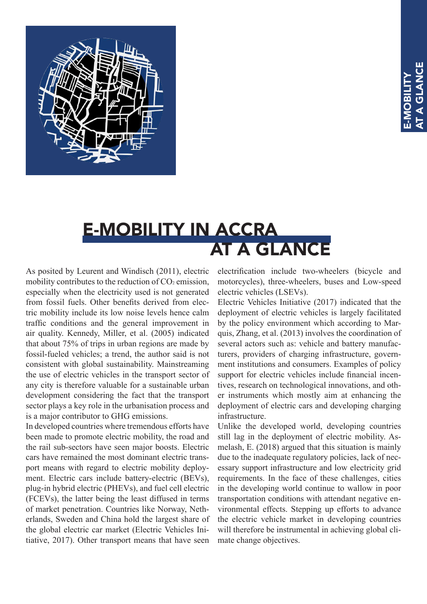

#### E-MOBILITY IN ACCRA AT A GLANCE

As posited by Leurent and Windisch (2011), electric mobility contributes to the reduction of  $CO<sub>2</sub>$  emission, especially when the electricity used is not generated from fossil fuels. Other benefits derived from electric mobility include its low noise levels hence calm traffic conditions and the general improvement in air quality. Kennedy, Miller, et al. (2005) indicated that about 75% of trips in urban regions are made by fossil-fueled vehicles; a trend, the author said is not consistent with global sustainability. Mainstreaming the use of electric vehicles in the transport sector of any city is therefore valuable for a sustainable urban development considering the fact that the transport sector plays a key role in the urbanisation process and is a major contributor to GHG emissions.

In developed countries where tremendous efforts have been made to promote electric mobility, the road and the rail sub-sectors have seen major boosts. Electric cars have remained the most dominant electric transport means with regard to electric mobility deployment. Electric cars include battery-electric (BEVs), plug-in hybrid electric (PHEVs), and fuel cell electric (FCEVs), the latter being the least diffused in terms of market penetration. Countries like Norway, Netherlands, Sweden and China hold the largest share of the global electric car market (Electric Vehicles Initiative, 2017). Other transport means that have seen

electrification include two-wheelers (bicycle and motorcycles), three-wheelers, buses and Low-speed electric vehicles (LSEVs).

Electric Vehicles Initiative (2017) indicated that the deployment of electric vehicles is largely facilitated by the policy environment which according to Marquis, Zhang, et al. (2013) involves the coordination of several actors such as: vehicle and battery manufacturers, providers of charging infrastructure, government institutions and consumers. Examples of policy support for electric vehicles include financial incentives, research on technological innovations, and other instruments which mostly aim at enhancing the deployment of electric cars and developing charging infrastructure.

Unlike the developed world, developing countries still lag in the deployment of electric mobility. Asmelash, E. (2018) argued that this situation is mainly due to the inadequate regulatory policies, lack of necessary support infrastructure and low electricity grid requirements. In the face of these challenges, cities in the developing world continue to wallow in poor transportation conditions with attendant negative environmental effects. Stepping up efforts to advance the electric vehicle market in developing countries will therefore be instrumental in achieving global climate change objectives.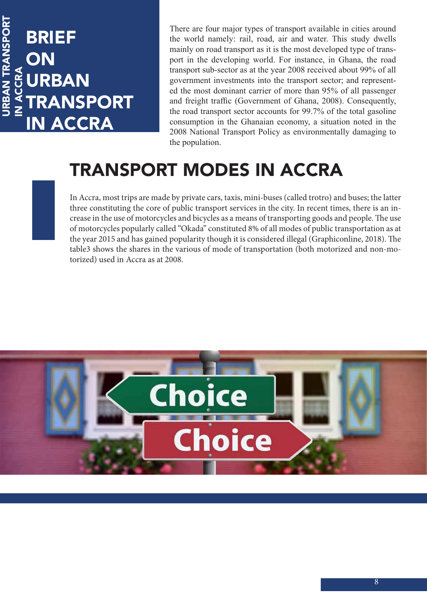#### URBAN TRANSPORT URBAN TRANSPORT BRIEF ON IN ACCRA IN ACCRA BAN **ANSPORT ACCRA**

There are four major types of transport available in cities around the world namely: rail, road, air and water. This study dwells mainly on road transport as it is the most developed type of transport in the developing world. For instance, in Ghana, the road transport sub-sector as at the year 2008 received about 99% of all government investments into the transport sector; and represented the most dominant carrier of more than 95% of all passenger and freight traffic (Government of Ghana, 2008). Consequently, the road transport sector accounts for 99.7% of the total gasoline consumption in the Ghanaian economy, a situation noted in the 2008 National Transport Policy as environmentally damaging to the population.

#### TRANSPORT MODES IN ACCRA

In Accra, most trips are made by private cars, taxis, mini-buses (called trotro) and buses; the latter three constituting the core of public transport services in the city. In recent times, there is an increase in the use of motorcycles and bicycles as a means of transporting goods and people. The use of motorcycles popularly called "Okada" constituted 8% of all modes of public transportation as at the year 2015 and has gained popularity though it is considered illegal (Graphiconline, 2018). The table3 shows the shares in the various of mode of transportation (both motorized and non-motorized) used in Accra as at 2008.

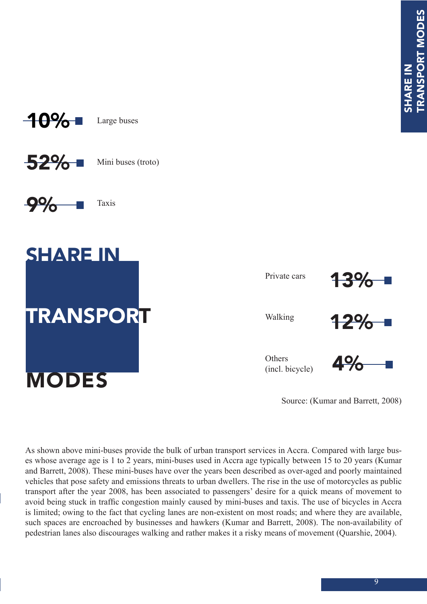

Large buses

Mini buses (troto) 52%

Taxis 9%



Private cars Walking **Others** (incl. bicycle) 13% 12% 4%

Source: (Kumar and Barrett, 2008)

As shown above mini-buses provide the bulk of urban transport services in Accra. Compared with large buses whose average age is 1 to 2 years, mini-buses used in Accra age typically between 15 to 20 years (Kumar and Barrett, 2008). These mini-buses have over the years been described as over-aged and poorly maintained vehicles that pose safety and emissions threats to urban dwellers. The rise in the use of motorcycles as public transport after the year 2008, has been associated to passengers' desire for a quick means of movement to avoid being stuck in traffic congestion mainly caused by mini-buses and taxis. The use of bicycles in Accra is limited; owing to the fact that cycling lanes are non-existent on most roads; and where they are available, such spaces are encroached by businesses and hawkers (Kumar and Barrett, 2008). The non-availability of pedestrian lanes also discourages walking and rather makes it a risky means of movement (Quarshie, 2004).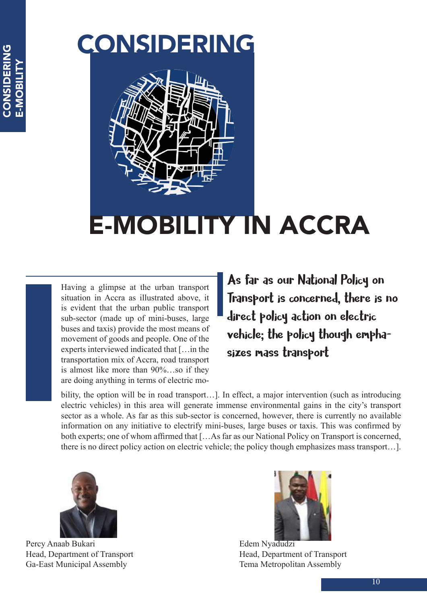### CONSIDERING



### E-MOBILITY IN ACCRA

Having a glimpse at the urban transport situation in Accra as illustrated above, it is evident that the urban public transport sub-sector (made up of mini-buses, large buses and taxis) provide the most means of movement of goods and people. One of the experts interviewed indicated that […in the transportation mix of Accra, road transport is almost like more than 90%…so if they are doing anything in terms of electric mo-

As far as our National Policy on Transport is concerned, there is no direct policy action on electric vehicle; the policy though emphasizes mass transport

bility, the option will be in road transport...]. In effect, a major intervention (such as introducing electric vehicles) in this area will generate immense environmental gains in the city's transport sector as a whole. As far as this sub-sector is concerned, however, there is currently no available information on any initiative to electrify mini-buses, large buses or taxis. This was confirmed by both experts; one of whom affirmed that […As far as our National Policy on Transport is concerned, there is no direct policy action on electric vehicle; the policy though emphasizes mass transport…].



Percy Anaab Bukari Head, Department of Transport Ga-East Municipal Assembly



Edem Nyadudzi Head, Department of Transport Tema Metropolitan Assembly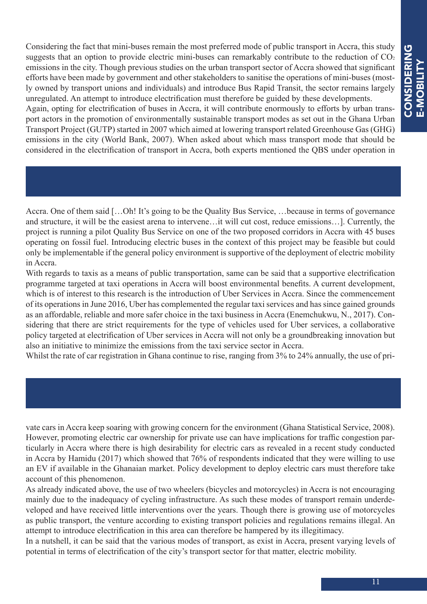Considering the fact that mini-buses remain the most preferred mode of public transport in Accra, this study suggests that an option to provide electric mini-buses can remarkably contribute to the reduction of  $CO<sub>2</sub>$ emissions in the city. Though previous studies on the urban transport sector of Accra showed that significant efforts have been made by government and other stakeholders to sanitise the operations of mini-buses (mostly owned by transport unions and individuals) and introduce Bus Rapid Transit, the sector remains largely unregulated. An attempt to introduce electrification must therefore be guided by these developments. Again, opting for electrification of buses in Accra, it will contribute enormously to efforts by urban transport actors in the promotion of environmentally sustainable transport modes as set out in the Ghana Urban Transport Project (GUTP) started in 2007 which aimed at lowering transport related Greenhouse Gas (GHG)

emissions in the city (World Bank, 2007). When asked about which mass transport mode that should be considered in the electrification of transport in Accra, both experts mentioned the QBS under operation in

Accra. One of them said […Oh! It's going to be the Quality Bus Service, …because in terms of governance and structure, it will be the easiest arena to intervene…it will cut cost, reduce emissions…]. Currently, the project is running a pilot Quality Bus Service on one of the two proposed corridors in Accra with 45 buses operating on fossil fuel. Introducing electric buses in the context of this project may be feasible but could only be implementable if the general policy environment is supportive of the deployment of electric mobility in Accra.

With regards to taxis as a means of public transportation, same can be said that a supportive electrification programme targeted at taxi operations in Accra will boost environmental benefits. A current development, which is of interest to this research is the introduction of Uber Services in Accra. Since the commencement of its operations in June 2016, Uber has complemented the regular taxi services and has since gained grounds as an affordable, reliable and more safer choice in the taxi business in Accra (Enemchukwu, N., 2017). Considering that there are strict requirements for the type of vehicles used for Uber services, a collaborative policy targeted at electrification of Uber services in Accra will not only be a groundbreaking innovation but also an initiative to minimize the emissions from the taxi service sector in Accra.

Whilst the rate of car registration in Ghana continue to rise, ranging from 3% to 24% annually, the use of pri-

vate cars in Accra keep soaring with growing concern for the environment (Ghana Statistical Service, 2008). However, promoting electric car ownership for private use can have implications for traffic congestion particularly in Accra where there is high desirability for electric cars as revealed in a recent study conducted in Accra by Hamidu (2017) which showed that 76% of respondents indicated that they were willing to use an EV if available in the Ghanaian market. Policy development to deploy electric cars must therefore take account of this phenomenon.

As already indicated above, the use of two wheelers (bicycles and motorcycles) in Accra is not encouraging mainly due to the inadequacy of cycling infrastructure. As such these modes of transport remain underdeveloped and have received little interventions over the years. Though there is growing use of motorcycles as public transport, the venture according to existing transport policies and regulations remains illegal. An attempt to introduce electrification in this area can therefore be hampered by its illegitimacy.

In a nutshell, it can be said that the various modes of transport, as exist in Accra, present varying levels of potential in terms of electrification of the city's transport sector for that matter, electric mobility.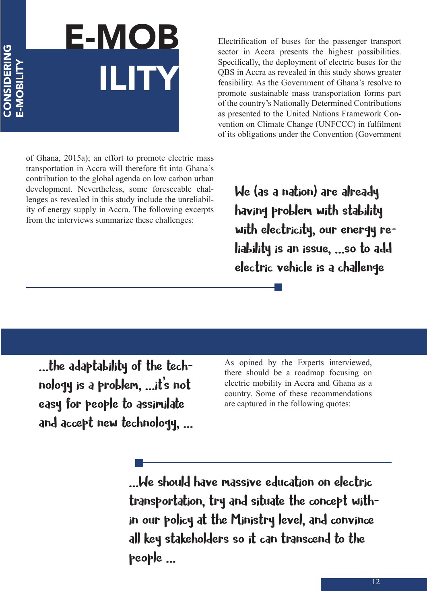## E-MOB ILITY

of Ghana, 2015a); an effort to promote electric mass transportation in Accra will therefore fit into Ghana's contribution to the global agenda on low carbon urban development. Nevertheless, some foreseeable challenges as revealed in this study include the unreliability of energy supply in Accra. The following excerpts from the interviews summarize these challenges:

Electrification of buses for the passenger transport sector in Accra presents the highest possibilities. Specifically, the deployment of electric buses for the QBS in Accra as revealed in this study shows greater feasibility. As the Government of Ghana's resolve to promote sustainable mass transportation forms part of the country's Nationally Determined Contributions as presented to the United Nations Framework Convention on Climate Change (UNFCCC) in fulfilment of its obligations under the Convention (Government

We (as a nation) are already having problem with stability with electricity, our energy reliability is an issue, …so to add electric vehicle is a challenge

…the adaptability of the technology is a problem, …it's not easy for people to assimilate and accept new technology, … As opined by the Experts interviewed, there should be a roadmap focusing on electric mobility in Accra and Ghana as a country. Some of these recommendations are captured in the following quotes:

…We should have massive education on electric transportation, try and situate the concept within our policy at the Ministry level, and convince all key stakeholders so it can transcend to the people …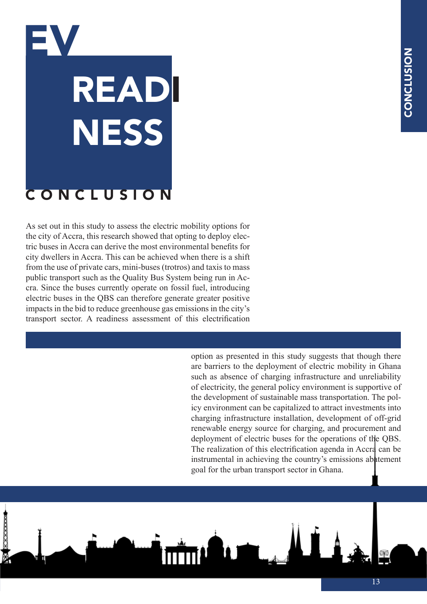## EV READI **NESS** CONCLUSION

As set out in this study to assess the electric mobility options for the city of Accra, this research showed that opting to deploy electric buses in Accra can derive the most environmental benefits for city dwellers in Accra. This can be achieved when there is a shift from the use of private cars, mini-buses (trotros) and taxis to mass public transport such as the Quality Bus System being run in Accra. Since the buses currently operate on fossil fuel, introducing electric buses in the QBS can therefore generate greater positive impacts in the bid to reduce greenhouse gas emissions in the city's transport sector. A readiness assessment of this electrification

> option as presented in this study suggests that though there are barriers to the deployment of electric mobility in Ghana such as absence of charging infrastructure and unreliability of electricity, the general policy environment is supportive of the development of sustainable mass transportation. The policy environment can be capitalized to attract investments into charging infrastructure installation, development of off-grid renewable energy source for charging, and procurement and deployment of electric buses for the operations of the QBS. The realization of this electrification agenda in Accra can be instrumental in achieving the country's emissions abatement goal for the urban transport sector in Ghana.

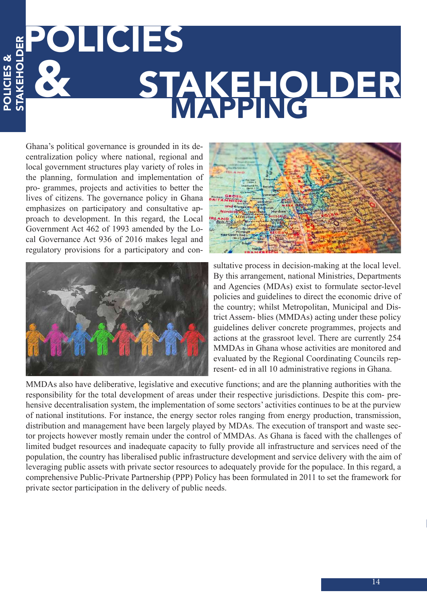### EPOLICIES STAKEHOLDER STAKEHOLDER

Ghana's political governance is grounded in its decentralization policy where national, regional and local government structures play variety of roles in the planning, formulation and implementation of pro- grammes, projects and activities to better the lives of citizens. The governance policy in Ghana emphasizes on participatory and consultative approach to development. In this regard, the Local Government Act 462 of 1993 amended by the Local Governance Act 936 of 2016 makes legal and regulatory provisions for a participatory and con-

POLICIES &

**SSIDITO**c





sultative process in decision-making at the local level. By this arrangement, national Ministries, Departments and Agencies (MDAs) exist to formulate sector-level policies and guidelines to direct the economic drive of the country; whilst Metropolitan, Municipal and District Assem- blies (MMDAs) acting under these policy guidelines deliver concrete programmes, projects and actions at the grassroot level. There are currently 254 MMDAs in Ghana whose activities are monitored and evaluated by the Regional Coordinating Councils represent- ed in all 10 administrative regions in Ghana.

MMDAs also have deliberative, legislative and executive functions; and are the planning authorities with the responsibility for the total development of areas under their respective jurisdictions. Despite this com- prehensive decentralisation system, the implementation of some sectors' activities continues to be at the purview of national institutions. For instance, the energy sector roles ranging from energy production, transmission, distribution and management have been largely played by MDAs. The execution of transport and waste sector projects however mostly remain under the control of MMDAs. As Ghana is faced with the challenges of limited budget resources and inadequate capacity to fully provide all infrastructure and services need of the population, the country has liberalised public infrastructure development and service delivery with the aim of leveraging public assets with private sector resources to adequately provide for the populace. In this regard, a comprehensive Public-Private Partnership (PPP) Policy has been formulated in 2011 to set the framework for private sector participation in the delivery of public needs.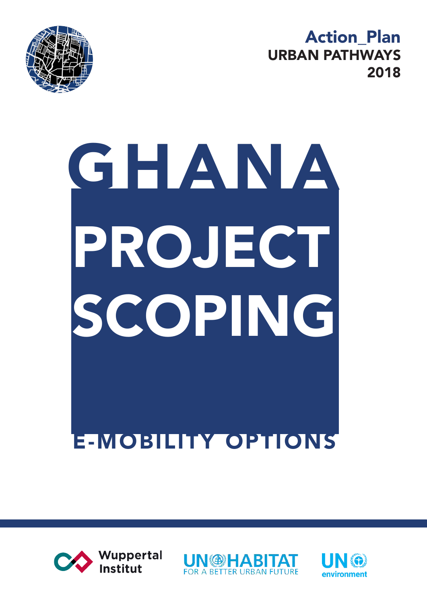Action\_Plan URBAN PATHWAYS 2018



# GHANA E-MOBILITY OPTIONS PROJECT SCOPING